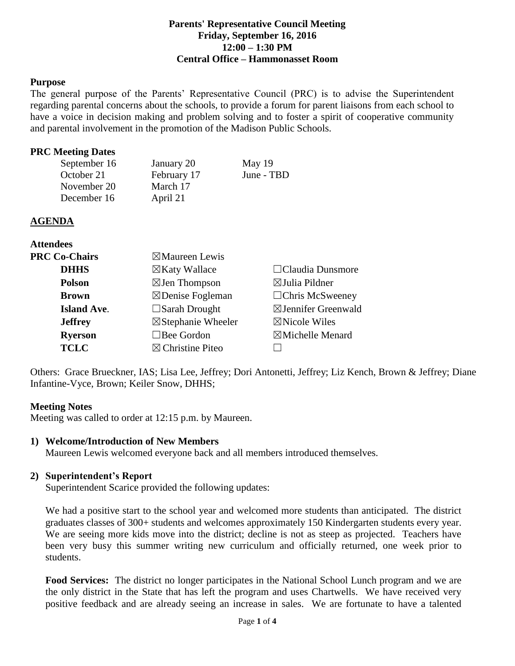#### **Parents' Representative Council Meeting Friday, September 16, 2016 12:00 – 1:30 PM Central Office – Hammonasset Room**

#### **Purpose**

The general purpose of the Parents' Representative Council (PRC) is to advise the Superintendent regarding parental concerns about the schools, to provide a forum for parent liaisons from each school to have a voice in decision making and problem solving and to foster a spirit of cooperative community and parental involvement in the promotion of the Madison Public Schools.

#### **PRC Meeting Dates**

| September 16 | January 20  | May $19$   |
|--------------|-------------|------------|
| October 21   | February 17 | June - TBD |
| November 20  | March 17    |            |
| December 16  | April 21    |            |

# **AGENDA**

| <b>Attendees</b>     |                               |                                |
|----------------------|-------------------------------|--------------------------------|
| <b>PRC Co-Chairs</b> | $\boxtimes$ Maureen Lewis     |                                |
| <b>DHHS</b>          | $\boxtimes$ Katy Wallace      | $\Box$ Claudia Dunsmore        |
| <b>Polson</b>        | $\boxtimes$ Jen Thompson      | $\boxtimes$ Julia Pildner      |
| <b>Brown</b>         | $\boxtimes$ Denise Fogleman   | $\Box$ Chris McSweeney         |
| <b>Island Ave.</b>   | $\square$ Sarah Drought       | $\boxtimes$ Jennifer Greenwald |
| <b>Jeffrey</b>       | $\boxtimes$ Stephanie Wheeler | $\boxtimes$ Nicole Wiles       |
| <b>Ryerson</b>       | $\Box$ Bee Gordon             | $\boxtimes$ Michelle Menard    |
| <b>TCLC</b>          | $\boxtimes$ Christine Piteo   |                                |

Others: Grace Brueckner, IAS; Lisa Lee, Jeffrey; Dori Antonetti, Jeffrey; Liz Kench, Brown & Jeffrey; Diane Infantine-Vyce, Brown; Keiler Snow, DHHS;

#### **Meeting Notes**

Meeting was called to order at 12:15 p.m. by Maureen.

# **1) Welcome/Introduction of New Members**

Maureen Lewis welcomed everyone back and all members introduced themselves.

# **2) Superintendent's Report**

Superintendent Scarice provided the following updates:

We had a positive start to the school year and welcomed more students than anticipated. The district graduates classes of 300+ students and welcomes approximately 150 Kindergarten students every year. We are seeing more kids move into the district; decline is not as steep as projected. Teachers have been very busy this summer writing new curriculum and officially returned, one week prior to students.

**Food Services:** The district no longer participates in the National School Lunch program and we are the only district in the State that has left the program and uses Chartwells. We have received very positive feedback and are already seeing an increase in sales. We are fortunate to have a talented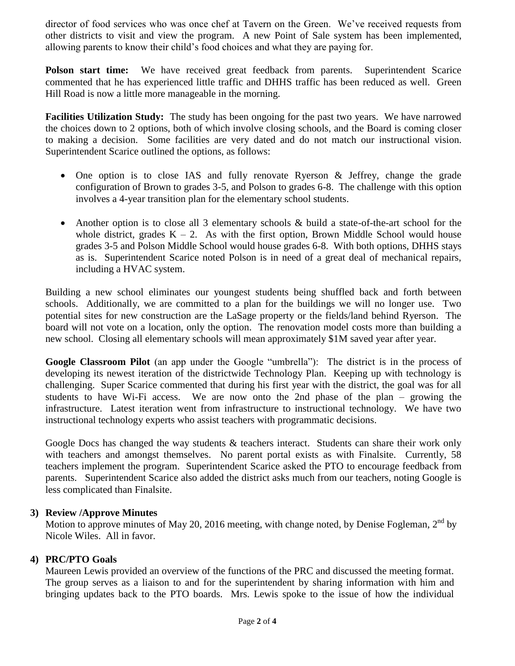director of food services who was once chef at Tavern on the Green. We've received requests from other districts to visit and view the program. A new Point of Sale system has been implemented, allowing parents to know their child's food choices and what they are paying for.

**Polson start time:** We have received great feedback from parents. Superintendent Scarice commented that he has experienced little traffic and DHHS traffic has been reduced as well. Green Hill Road is now a little more manageable in the morning.

**Facilities Utilization Study:** The study has been ongoing for the past two years. We have narrowed the choices down to 2 options, both of which involve closing schools, and the Board is coming closer to making a decision. Some facilities are very dated and do not match our instructional vision. Superintendent Scarice outlined the options, as follows:

- One option is to close IAS and fully renovate Ryerson & Jeffrey, change the grade configuration of Brown to grades 3-5, and Polson to grades 6-8. The challenge with this option involves a 4-year transition plan for the elementary school students.
- Another option is to close all 3 elementary schools & build a state-of-the-art school for the whole district, grades  $K - 2$ . As with the first option, Brown Middle School would house grades 3-5 and Polson Middle School would house grades 6-8. With both options, DHHS stays as is. Superintendent Scarice noted Polson is in need of a great deal of mechanical repairs, including a HVAC system.

Building a new school eliminates our youngest students being shuffled back and forth between schools. Additionally, we are committed to a plan for the buildings we will no longer use. Two potential sites for new construction are the LaSage property or the fields/land behind Ryerson. The board will not vote on a location, only the option. The renovation model costs more than building a new school. Closing all elementary schools will mean approximately \$1M saved year after year.

**Google Classroom Pilot** (an app under the Google "umbrella"): The district is in the process of developing its newest iteration of the districtwide Technology Plan. Keeping up with technology is challenging. Super Scarice commented that during his first year with the district, the goal was for all students to have Wi-Fi access. We are now onto the 2nd phase of the plan – growing the infrastructure. Latest iteration went from infrastructure to instructional technology. We have two instructional technology experts who assist teachers with programmatic decisions.

Google Docs has changed the way students & teachers interact. Students can share their work only with teachers and amongst themselves. No parent portal exists as with Finalsite. Currently, 58 teachers implement the program. Superintendent Scarice asked the PTO to encourage feedback from parents. Superintendent Scarice also added the district asks much from our teachers, noting Google is less complicated than Finalsite.

# **3) Review /Approve Minutes**

Motion to approve minutes of May 20, 2016 meeting, with change noted, by Denise Fogleman,  $2<sup>nd</sup>$  by Nicole Wiles. All in favor.

# **4) PRC/PTO Goals**

Maureen Lewis provided an overview of the functions of the PRC and discussed the meeting format. The group serves as a liaison to and for the superintendent by sharing information with him and bringing updates back to the PTO boards. Mrs. Lewis spoke to the issue of how the individual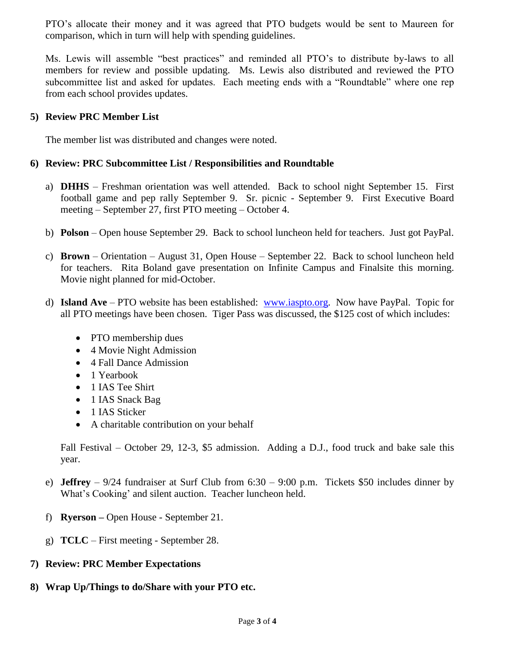PTO's allocate their money and it was agreed that PTO budgets would be sent to Maureen for comparison, which in turn will help with spending guidelines.

Ms. Lewis will assemble "best practices" and reminded all PTO's to distribute by-laws to all members for review and possible updating. Ms. Lewis also distributed and reviewed the PTO subcommittee list and asked for updates. Each meeting ends with a "Roundtable" where one rep from each school provides updates.

#### **5) Review PRC Member List**

The member list was distributed and changes were noted.

#### **6) Review: PRC Subcommittee List / Responsibilities and Roundtable**

- a) **DHHS** Freshman orientation was well attended. Back to school night September 15. First football game and pep rally September 9. Sr. picnic - September 9. First Executive Board meeting – September 27, first PTO meeting – October 4.
- b) **Polson** Open house September 29. Back to school luncheon held for teachers. Just got PayPal.
- c) **Brown** Orientation August 31, Open House September 22. Back to school luncheon held for teachers. Rita Boland gave presentation on Infinite Campus and Finalsite this morning. Movie night planned for mid-October.
- d) **Island Ave**  PTO website has been established: [www.iaspto.org.](http://www.iaspto.org/) Now have PayPal. Topic for all PTO meetings have been chosen. Tiger Pass was discussed, the \$125 cost of which includes:
	- PTO membership dues
	- 4 Movie Night Admission
	- 4 Fall Dance Admission
	- 1 Yearbook
	- 1 IAS Tee Shirt
	- 1 IAS Snack Bag
	- 1 IAS Sticker
	- A charitable contribution on your behalf

Fall Festival – October 29, 12-3, \$5 admission. Adding a D.J., food truck and bake sale this year.

- e) **Jeffrey** 9/24 fundraiser at Surf Club from 6:30 9:00 p.m. Tickets \$50 includes dinner by What's Cooking' and silent auction. Teacher luncheon held.
- f) **Ryerson –** Open House September 21.
- g) **TCLC**  First meeting September 28.

# **7) Review: PRC Member Expectations**

**8) Wrap Up/Things to do/Share with your PTO etc.**